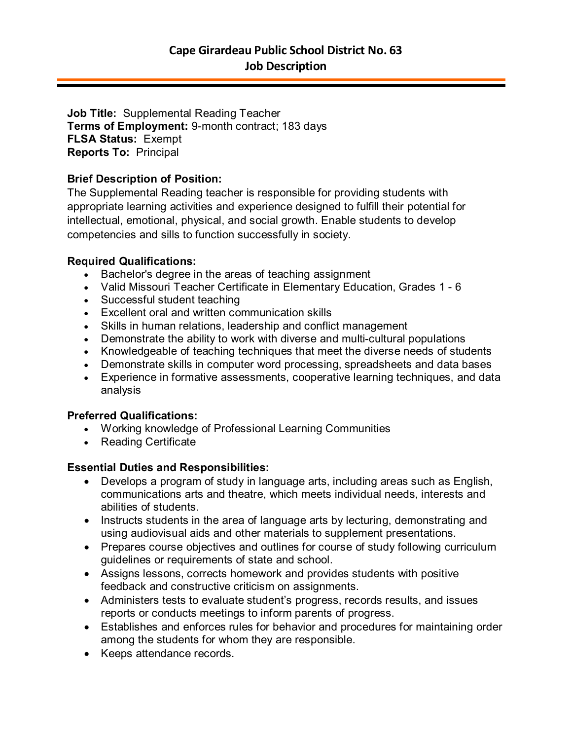**Job Title:** Supplemental Reading Teacher **Terms of Employment:** 9-month contract; 183 days **FLSA Status:** Exempt **Reports To:** Principal

## **Brief Description of Position:**

The Supplemental Reading teacher is responsible for providing students with appropriate learning activities and experience designed to fulfill their potential for intellectual, emotional, physical, and social growth. Enable students to develop competencies and sills to function successfully in society.

## **Required Qualifications:**

- Bachelor's degree in the areas of teaching assignment
- Valid Missouri Teacher Certificate in Elementary Education, Grades 1 6
- Successful student teaching
- Excellent oral and written communication skills
- Skills in human relations, leadership and conflict management
- Demonstrate the ability to work with diverse and multi-cultural populations
- Knowledgeable of teaching techniques that meet the diverse needs of students
- Demonstrate skills in computer word processing, spreadsheets and data bases
- Experience in formative assessments, cooperative learning techniques, and data analysis

## **Preferred Qualifications:**

- Working knowledge of Professional Learning Communities
- Reading Certificate

# **Essential Duties and Responsibilities:**

- Develops a program of study in language arts, including areas such as English, communications arts and theatre, which meets individual needs, interests and abilities of students.
- Instructs students in the area of language arts by lecturing, demonstrating and using audiovisual aids and other materials to supplement presentations.
- Prepares course objectives and outlines for course of study following curriculum guidelines or requirements of state and school.
- Assigns lessons, corrects homework and provides students with positive feedback and constructive criticism on assignments.
- Administers tests to evaluate student's progress, records results, and issues reports or conducts meetings to inform parents of progress.
- Establishes and enforces rules for behavior and procedures for maintaining order among the students for whom they are responsible.
- Keeps attendance records.